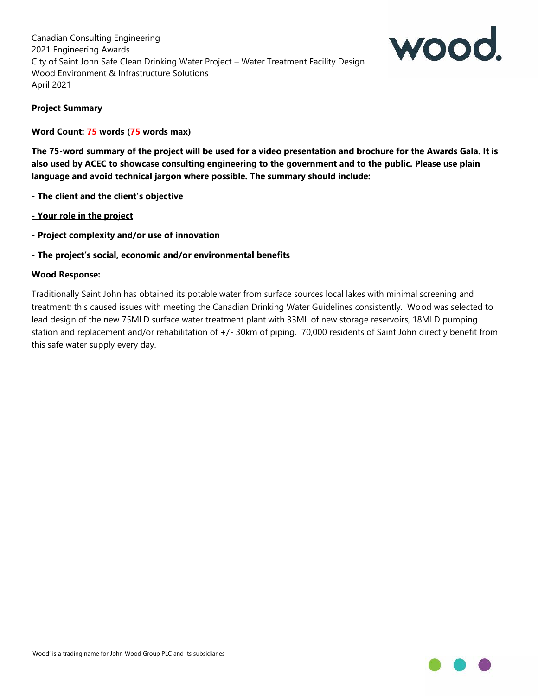

### **Project Summary**

#### **Word Count: 75 words (75 words max)**

**The 75-word summary of the project will be used for a video presentation and brochure for the Awards Gala. It is also used by ACEC to showcase consulting engineering to the government and to the public. Please use plain language and avoid technical jargon where possible. The summary should include:**

- **- The client and the client's objective**
- **- Your role in the project**
- **- Project complexity and/or use of innovation**

#### **- The project's social, economic and/or environmental benefits**

#### **Wood Response:**

Traditionally Saint John has obtained its potable water from surface sources local lakes with minimal screening and treatment; this caused issues with meeting the Canadian Drinking Water Guidelines consistently. Wood was selected to lead design of the new 75MLD surface water treatment plant with 33ML of new storage reservoirs, 18MLD pumping station and replacement and/or rehabilitation of +/- 30km of piping. 70,000 residents of Saint John directly benefit from this safe water supply every day.

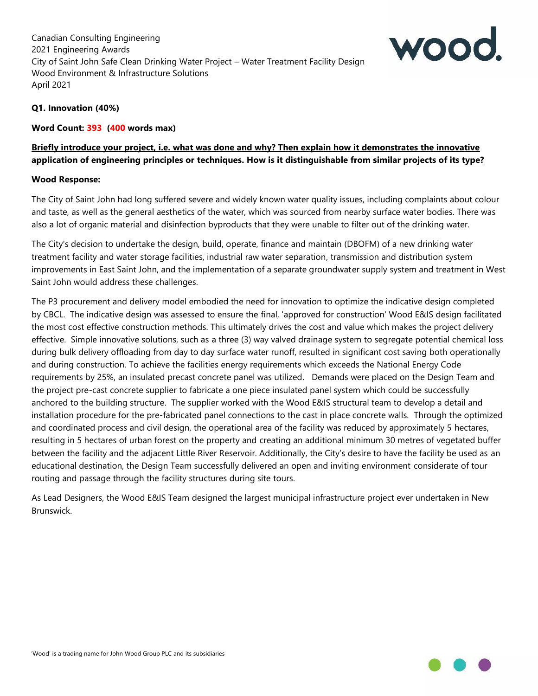

## **Q1. Innovation (40%)**

### **Word Count: 393 (400 words max)**

# **Briefly introduce your project, i.e. what was done and why? Then explain how it demonstrates the innovative application of engineering principles or techniques. How is it distinguishable from similar projects of its type?**

### **Wood Response:**

The City of Saint John had long suffered severe and widely known water quality issues, including complaints about colour and taste, as well as the general aesthetics of the water, which was sourced from nearby surface water bodies. There was also a lot of organic material and disinfection byproducts that they were unable to filter out of the drinking water.

The City's decision to undertake the design, build, operate, finance and maintain (DBOFM) of a new drinking water treatment facility and water storage facilities, industrial raw water separation, transmission and distribution system improvements in East Saint John, and the implementation of a separate groundwater supply system and treatment in West Saint John would address these challenges.

The P3 procurement and delivery model embodied the need for innovation to optimize the indicative design completed by CBCL. The indicative design was assessed to ensure the final, 'approved for construction' Wood E&IS design facilitated the most cost effective construction methods. This ultimately drives the cost and value which makes the project delivery effective. Simple innovative solutions, such as a three (3) way valved drainage system to segregate potential chemical loss during bulk delivery offloading from day to day surface water runoff, resulted in significant cost saving both operationally and during construction. To achieve the facilities energy requirements which exceeds the National Energy Code requirements by 25%, an insulated precast concrete panel was utilized. Demands were placed on the Design Team and the project pre-cast concrete supplier to fabricate a one piece insulated panel system which could be successfully anchored to the building structure. The supplier worked with the Wood E&IS structural team to develop a detail and installation procedure for the pre-fabricated panel connections to the cast in place concrete walls. Through the optimized and coordinated process and civil design, the operational area of the facility was reduced by approximately 5 hectares, resulting in 5 hectares of urban forest on the property and creating an additional minimum 30 metres of vegetated buffer between the facility and the adjacent Little River Reservoir. Additionally, the City's desire to have the facility be used as an educational destination, the Design Team successfully delivered an open and inviting environment considerate of tour routing and passage through the facility structures during site tours.

As Lead Designers, the Wood E&IS Team designed the largest municipal infrastructure project ever undertaken in New Brunswick.

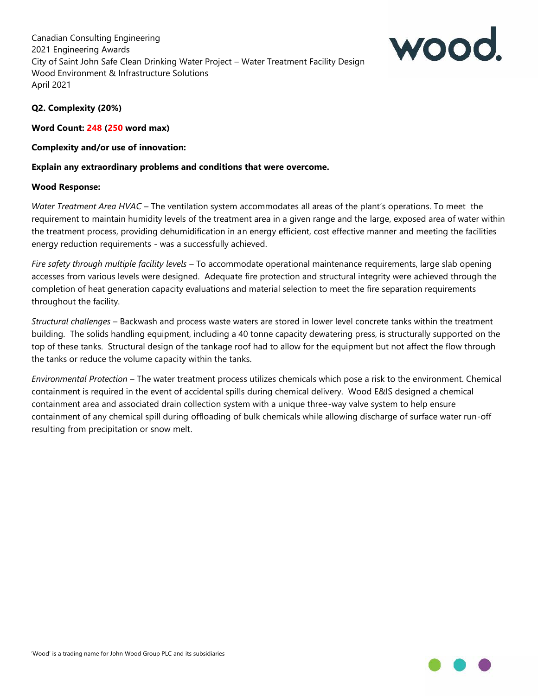

### **Q2. Complexity (20%)**

**Word Count: 248 (250 word max)**

### **Complexity and/or use of innovation:**

## **Explain any extraordinary problems and conditions that were overcome.**

### **Wood Response:**

*Water Treatment Area HVAC* – The ventilation system accommodates all areas of the plant's operations. To meet the requirement to maintain humidity levels of the treatment area in a given range and the large, exposed area of water within the treatment process, providing dehumidification in an energy efficient, cost effective manner and meeting the facilities energy reduction requirements - was a successfully achieved.

*Fire safety through multiple facility levels* – To accommodate operational maintenance requirements, large slab opening accesses from various levels were designed. Adequate fire protection and structural integrity were achieved through the completion of heat generation capacity evaluations and material selection to meet the fire separation requirements throughout the facility.

*Structural challenges* – Backwash and process waste waters are stored in lower level concrete tanks within the treatment building. The solids handling equipment, including a 40 tonne capacity dewatering press, is structurally supported on the top of these tanks. Structural design of the tankage roof had to allow for the equipment but not affect the flow through the tanks or reduce the volume capacity within the tanks.

*Environmental Protection* – The water treatment process utilizes chemicals which pose a risk to the environment. Chemical containment is required in the event of accidental spills during chemical delivery. Wood E&IS designed a chemical containment area and associated drain collection system with a unique three-way valve system to help ensure containment of any chemical spill during offloading of bulk chemicals while allowing discharge of surface water run-off resulting from precipitation or snow melt.

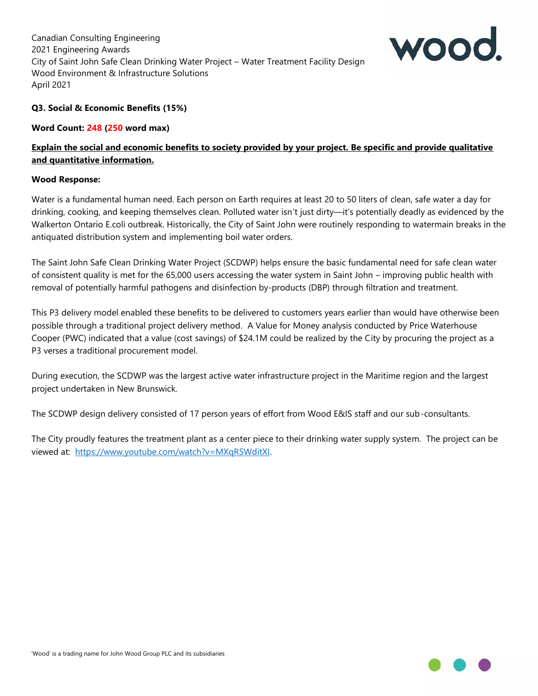

### **Q3. Social & Economic Benefits (15%)**

**Word Count: 248 (250 word max)**

## **Explain the social and economic benefits to society provided by your project. Be specific and provide qualitative and quantitative information.**

#### **Wood Response:**

Water is a fundamental human need. Each person on Earth requires at least 20 to 50 liters of clean, safe water a day for drinking, cooking, and keeping themselves clean. Polluted water isn't just dirty—it's potentially deadly as evidenced by the Walkerton Ontario E.coli outbreak. Historically, the City of Saint John were routinely responding to watermain breaks in the antiquated distribution system and implementing boil water orders.

The Saint John Safe Clean Drinking Water Project (SCDWP) helps ensure the basic fundamental need for safe clean water of consistent quality is met for the 65,000 users accessing the water system in Saint John – improving public health with removal of potentially harmful pathogens and disinfection by-products (DBP) through filtration and treatment.

This P3 delivery model enabled these benefits to be delivered to customers years earlier than would have otherwise been possible through a traditional project delivery method. A Value for Money analysis conducted by Price Waterhouse Cooper (PWC) indicated that a value (cost savings) of \$24.1M could be realized by the City by procuring the project as a P3 verses a traditional procurement model.

During execution, the SCDWP was the largest active water infrastructure project in the Maritime region and the largest project undertaken in New Brunswick.

The SCDWP design delivery consisted of 17 person years of effort from Wood E&IS staff and our sub-consultants.

The City proudly features the treatment plant as a center piece to their drinking water supply system. The project can be viewed at: https://www.youtube.com/watch?v=MXqRSWditXI.

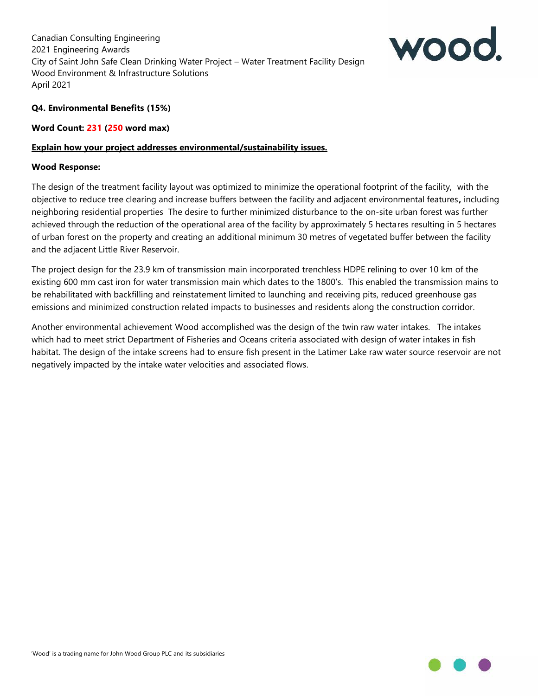

## **Q4. Environmental Benefits (15%)**

#### **Word Count: 231 (250 word max)**

#### **Explain how your project addresses environmental/sustainability issues.**

#### **Wood Response:**

The design of the treatment facility layout was optimized to minimize the operational footprint of the facility, with the objective to reduce tree clearing and increase buffers between the facility and adjacent environmental features**,** including neighboring residential properties The desire to further minimized disturbance to the on-site urban forest was further achieved through the reduction of the operational area of the facility by approximately 5 hectares resulting in 5 hectares of urban forest on the property and creating an additional minimum 30 metres of vegetated buffer between the facility and the adjacent Little River Reservoir.

The project design for the 23.9 km of transmission main incorporated trenchless HDPE relining to over 10 km of the existing 600 mm cast iron for water transmission main which dates to the 1800's. This enabled the transmission mains to be rehabilitated with backfilling and reinstatement limited to launching and receiving pits, reduced greenhouse gas emissions and minimized construction related impacts to businesses and residents along the construction corridor.

Another environmental achievement Wood accomplished was the design of the twin raw water intakes. The intakes which had to meet strict Department of Fisheries and Oceans criteria associated with design of water intakes in fish habitat. The design of the intake screens had to ensure fish present in the Latimer Lake raw water source reservoir are not negatively impacted by the intake water velocities and associated flows.

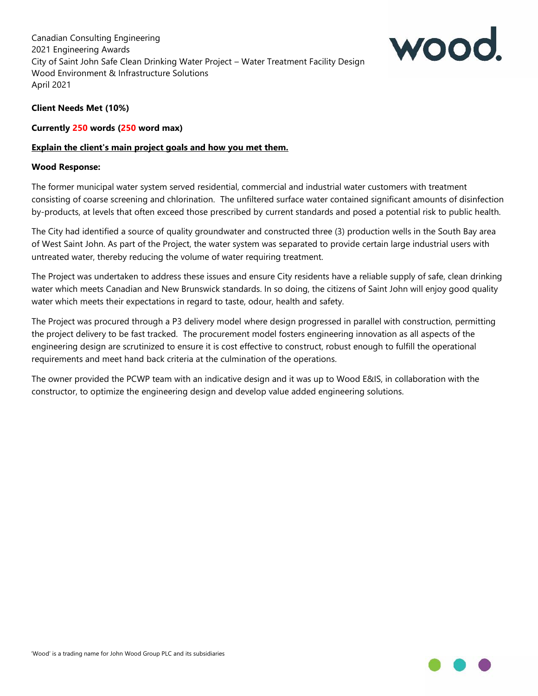

## **Client Needs Met (10%)**

#### **Currently 250 words (250 word max)**

### **Explain the client's main project goals and how you met them.**

#### **Wood Response:**

The former municipal water system served residential, commercial and industrial water customers with treatment consisting of coarse screening and chlorination. The unfiltered surface water contained significant amounts of disinfection by-products, at levels that often exceed those prescribed by current standards and posed a potential risk to public health.

The City had identified a source of quality groundwater and constructed three (3) production wells in the South Bay area of West Saint John. As part of the Project, the water system was separated to provide certain large industrial users with untreated water, thereby reducing the volume of water requiring treatment.

The Project was undertaken to address these issues and ensure City residents have a reliable supply of safe, clean drinking water which meets Canadian and New Brunswick standards. In so doing, the citizens of Saint John will enjoy good quality water which meets their expectations in regard to taste, odour, health and safety.

The Project was procured through a P3 delivery model where design progressed in parallel with construction, permitting the project delivery to be fast tracked. The procurement model fosters engineering innovation as all aspects of the engineering design are scrutinized to ensure it is cost effective to construct, robust enough to fulfill the operational requirements and meet hand back criteria at the culmination of the operations.

The owner provided the PCWP team with an indicative design and it was up to Wood E&IS, in collaboration with the constructor, to optimize the engineering design and develop value added engineering solutions.

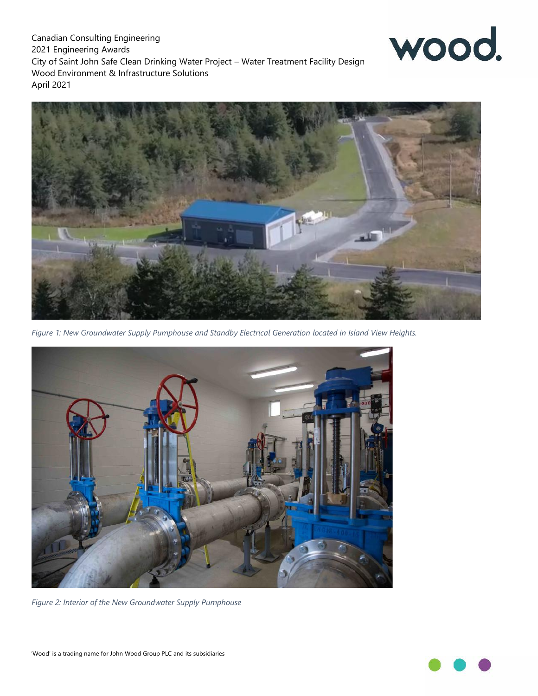

*Figure 1: New Groundwater Supply Pumphouse and Standby Electrical Generation located in Island View Heights.*



*Figure 2: Interior of the New Groundwater Supply Pumphouse*



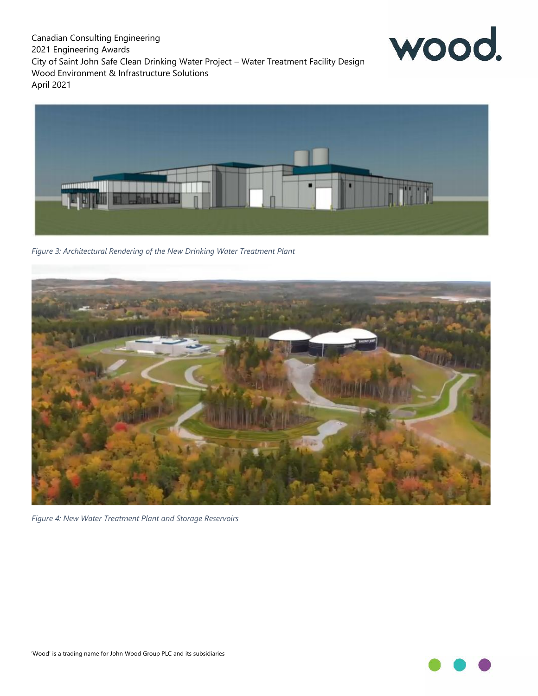



*Figure 3: Architectural Rendering of the New Drinking Water Treatment Plant*



*Figure 4: New Water Treatment Plant and Storage Reservoirs*